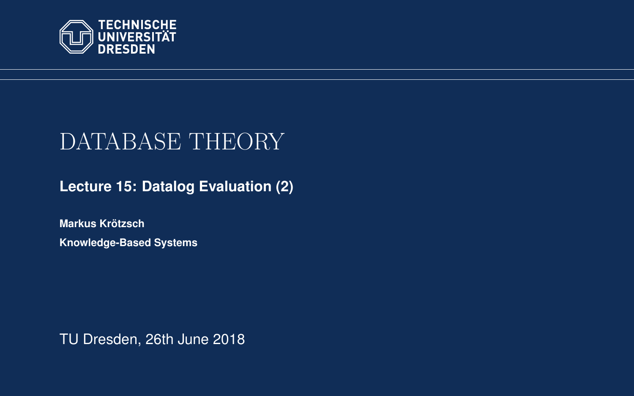<span id="page-0-0"></span>

# DATABASE THEORY

**[Lecture 15: Datalog Evaluation \(2\)](https://iccl.inf.tu-dresden.de/web/Database_Theory_(SS2018))**

**[Markus Krotzsch](https://iccl.inf.tu-dresden.de/web/Markus_Kr%C3%B6tzsch/en) ¨ Knowledge-Based Systems**

TU Dresden, 26th June 2018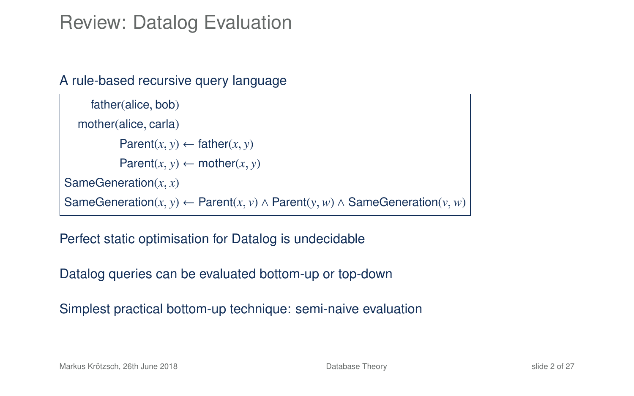#### Review: Datalog Evaluation

#### A rule-based recursive query language

```
father(alice, bob)
  mother(alice, carla)
           Parent(x, y) \leftarrow father(x, y)Parent(x, y) \leftarrow mother(x, y)SameGeneration(x, x)
SameGeneration(x, y) ← Parent(x, v) ∧ Parent(y, w) ∧ SameGeneration(v, w)
```
Perfect static optimisation for Datalog is undecidable

Datalog queries can be evaluated bottom-up or top-down

Simplest practical bottom-up technique: semi-naive evaluation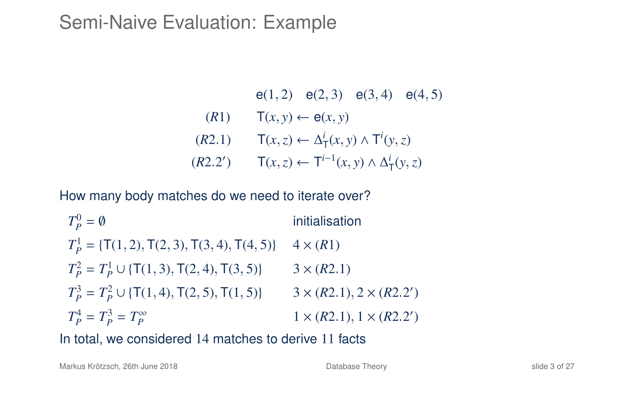#### Semi-Naive Evaluation: Example

\n- $$
e(1, 2) \quad e(2, 3) \quad e(3, 4) \quad e(4, 5)
$$
\n- (R1)  $T(x, y) \leftarrow e(x, y)$
\n- (R2.1)  $T(x, z) \leftarrow \Delta^i_T(x, y) \wedge T^i(y, z)$
\n- (R2.2')  $T(x, z) \leftarrow T^{i-1}(x, y) \wedge \Delta^i_T(y, z)$
\n

How many body matches do we need to iterate over?

 $T_P^0$ initialisation  $T_P^1$  = {T(1, 2), T(2, 3), T(3, 4), T(4, 5)} 4 × (*R*1)  $T_P^2 = T_P^1 \cup \{ \mathsf{T}(1, 3), \mathsf{T}(2, 4), \mathsf{T}(3, 5) \}$  3 × (*R*2.1)  $T_p^3 = T_p^2 \cup \{ \text{T}(1, 4), \text{T}(2, 5), \text{T}(1, 5) \}$  3 × (*R*2.1), 2 × (*R*2.2<sup>'</sup>)  $T_P^4 = T_P^3 = T_P^{\infty}$  $1 \times (R2.1), 1 \times (R2.2')$ 

In total, we considered 14 matches to derive 11 facts

Markus Krötzsch, 26th June 2018 [Database Theory](#page-0-0) slide 3 of 27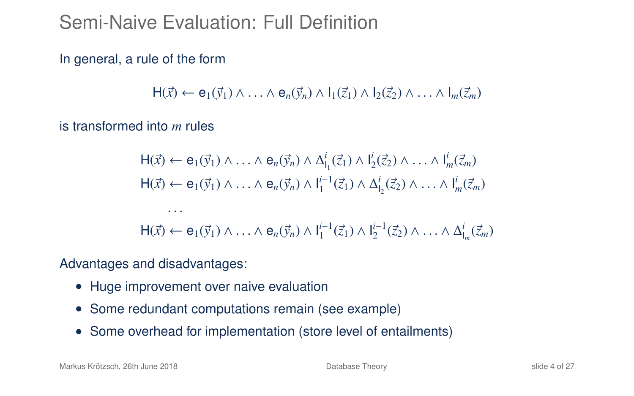# Semi-Naive Evaluation: Full Definition

In general, a rule of the form

 $H(\vec{x}) \leftarrow e_1(\vec{y}_1) \wedge \ldots \wedge e_n(\vec{y}_n) \wedge l_1(\vec{z}_1) \wedge l_2(\vec{z}_2) \wedge \ldots \wedge l_m(\vec{z}_m)$ 

is transformed into *m* rules

$$
H(\vec{x}) \leftarrow e_1(\vec{y}_1) \land \dots \land e_n(\vec{y}_n) \land \Delta_{l_1}^i(\vec{z}_1) \land l_2^i(\vec{z}_2) \land \dots \land l_m^i(\vec{z}_m)
$$
  
\n
$$
H(\vec{x}) \leftarrow e_1(\vec{y}_1) \land \dots \land e_n(\vec{y}_n) \land l_1^{i-1}(\vec{z}_1) \land \Delta_{l_2}^i(\vec{z}_2) \land \dots \land l_m^i(\vec{z}_m)
$$
  
\n...  
\n
$$
H(\vec{x}) \leftarrow e_1(\vec{y}_1) \land \dots \land e_n(\vec{y}_n) \land l_1^{i-1}(\vec{z}_1) \land l_2^{i-1}(\vec{z}_2) \land \dots \land \Delta_{l_m}^i(\vec{z}_m)
$$

Advantages and disadvantages:

- Huge improvement over naive evaluation
- Some redundant computations remain (see example)
- Some overhead for implementation (store level of entailments)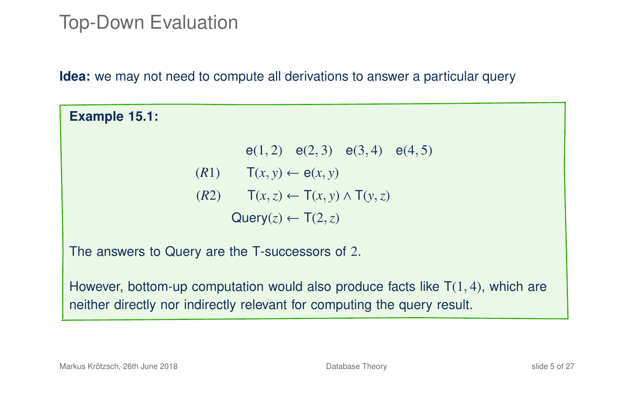#### Top-Down Evaluation

**Idea:** we may not need to compute all derivations to answer a particular query

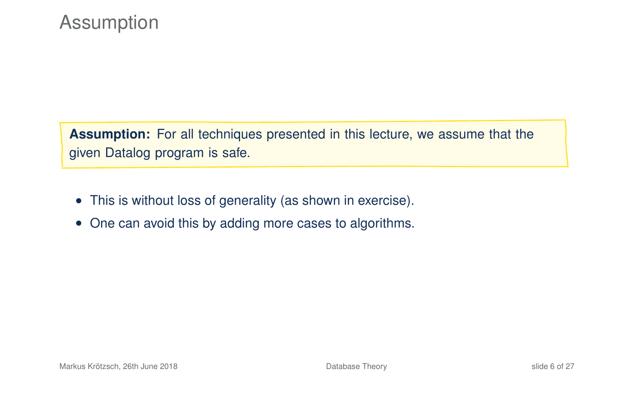# **Assumption**

**Assumption:** For all techniques presented in this lecture, we assume that the given Datalog program is safe.

- This is without loss of generality (as shown in exercise).
- One can avoid this by adding more cases to algorithms.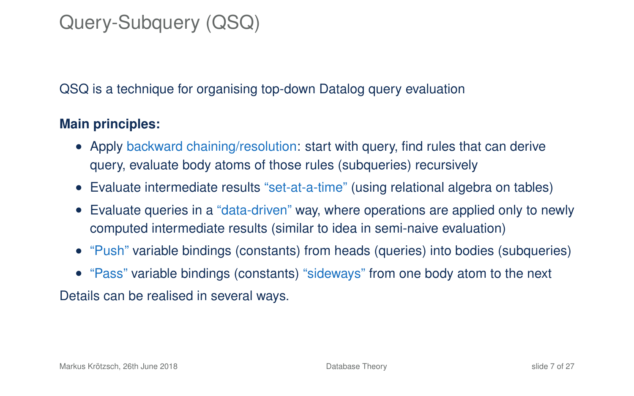# Query-Subquery (QSQ)

QSQ is a technique for organising top-down Datalog query evaluation

#### **Main principles:**

- Apply backward chaining/resolution: start with query, find rules that can derive query, evaluate body atoms of those rules (subqueries) recursively
- Evaluate intermediate results "set-at-a-time" (using relational algebra on tables)
- Evaluate queries in a "data-driven" way, where operations are applied only to newly computed intermediate results (similar to idea in semi-naive evaluation)
- "Push" variable bindings (constants) from heads (queries) into bodies (subqueries)
- "Pass" variable bindings (constants) "sideways" from one body atom to the next

Details can be realised in several ways.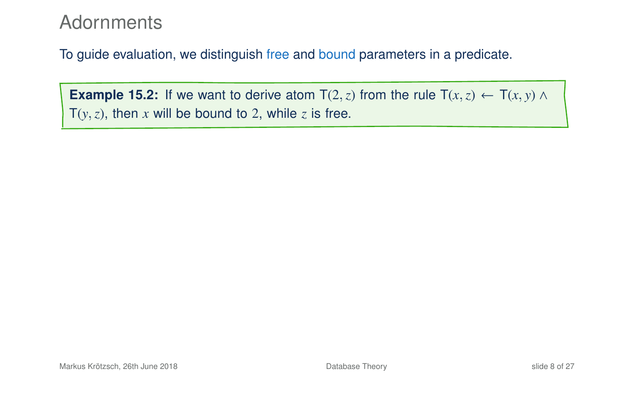#### **Adornments**

To guide evaluation, we distinguish free and bound parameters in a predicate.

**Example 15.2:** If we want to derive atom  $T(2, z)$  from the rule  $T(x, z) \leftarrow T(x, y) \land T(x, z)$  $T(y, z)$ , then *x* will be bound to 2, while *z* is free.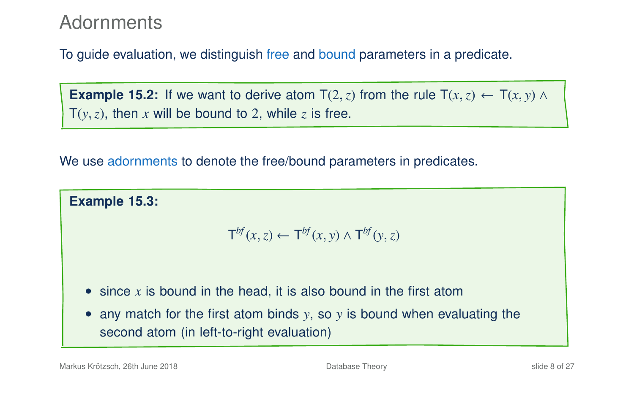#### **Adornments**

To guide evaluation, we distinguish free and bound parameters in a predicate.

**Example 15.2:** If we want to derive atom  $T(2, z)$  from the rule  $T(x, z) \leftarrow T(x, y) \wedge T(x, z)$  $T(y, z)$ , then *x* will be bound to 2, while *z* is free.

We use adornments to denote the free/bound parameters in predicates.

**Example 15.3:**

$$
\mathsf{T}^{bf}(x,z) \leftarrow \mathsf{T}^{bf}(x,y) \wedge \mathsf{T}^{bf}(y,z)
$$

- since x is bound in the head, it is also bound in the first atom
- any match for the first atom binds *y*, so *y* is bound when evaluating the second atom (in left-to-right evaluation)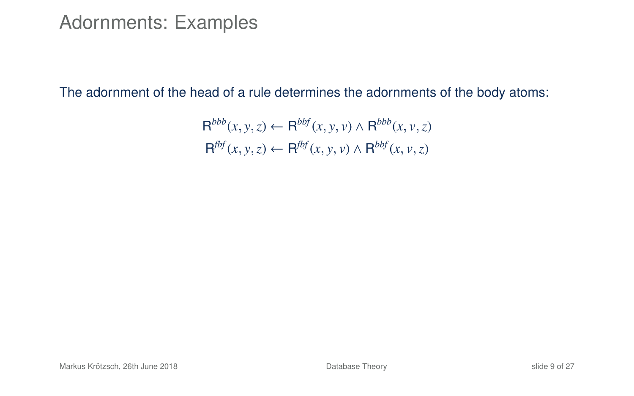#### Adornments: Examples

The adornment of the head of a rule determines the adornments of the body atoms:

$$
\mathsf{R}^{bbb}(x, y, z) \leftarrow \mathsf{R}^{bbf}(x, y, v) \land \mathsf{R}^{bbb}(x, v, z)
$$
  

$$
\mathsf{R}^{fbf}(x, y, z) \leftarrow \mathsf{R}^{fbf}(x, y, v) \land \mathsf{R}^{bbf}(x, v, z)
$$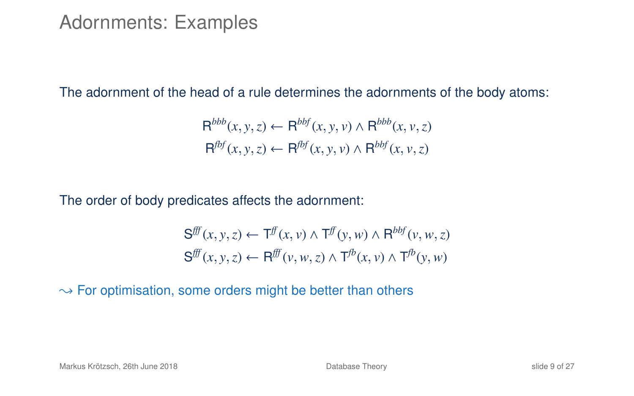#### Adornments: Examples

The adornment of the head of a rule determines the adornments of the body atoms:

$$
R^{bbb}(x, y, z) \leftarrow R^{bbf}(x, y, v) \land R^{bbb}(x, v, z)
$$
  

$$
R^{fbf}(x, y, z) \leftarrow R^{fbf}(x, y, v) \land R^{bbf}(x, v, z)
$$

The order of body predicates affects the adornment:

$$
\mathbf{S}^{f\!f\!f}(x, y, z) \leftarrow \mathbf{T}^{f\!f}(x, v) \land \mathbf{T}^{f\!f}(y, w) \land \mathbf{R}^{b\!f}(v, w, z)
$$

$$
\mathbf{S}^{f\!f\!f}(x, y, z) \leftarrow \mathbf{R}^{f\!f\!f}(v, w, z) \land \mathbf{T}^{f\!b}(x, v) \land \mathbf{T}^{f\!b}(y, w)
$$

 $\rightarrow$  For optimisation, some orders might be better than others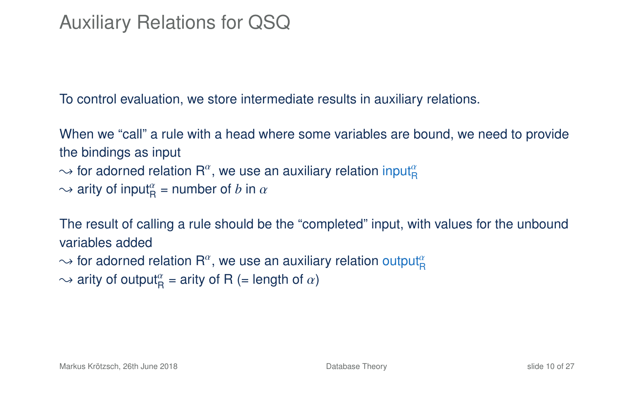# Auxiliary Relations for QSQ

To control evaluation, we store intermediate results in auxiliary relations.

When we "call" a rule with a head where some variables are bound, we need to provide the bindings as input  $\sim$  for adorned relation R $^a$ , we use an auxiliary relation input $^a_{\mathsf{R}}$  $\sim$  arity of input<sub>R</sub><sup> $\alpha$ </sup> = number of *b* in  $\alpha$ 

The result of calling a rule should be the "completed" input, with values for the unbound variables added

 $\sim$  for adorned relation  $\mathsf{R}^{\alpha},$  we use an auxiliary relation output $^{\alpha}_{\mathsf{R}}$ 

 $\rightarrow$  arity of output $_{\mathsf{R}}^{\alpha}$  = arity of R (= length of  $\alpha$ )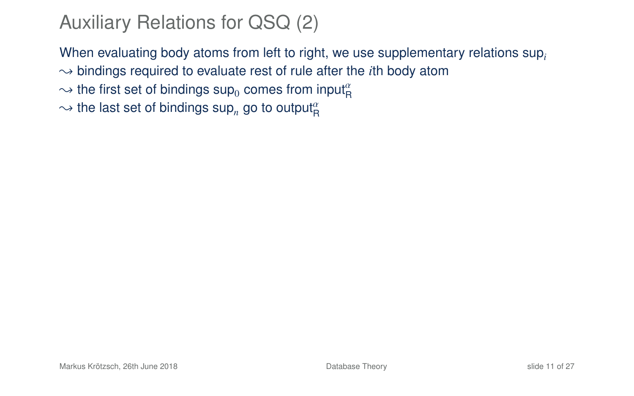# Auxiliary Relations for QSQ (2)

When evaluating body atoms from left to right, we use supplementary relations sup*<sup>i</sup>*  $\rightarrow$  bindings required to evaluate rest of rule after the *i*th body atom

 $\sim$  the first set of bindings  $\mathsf{sup}_0$  comes from input $^a_\mathsf{R}$ 

 $\sim$  the last set of bindings sup<sub>n</sub> go to output $^{\alpha}_{\rm R}$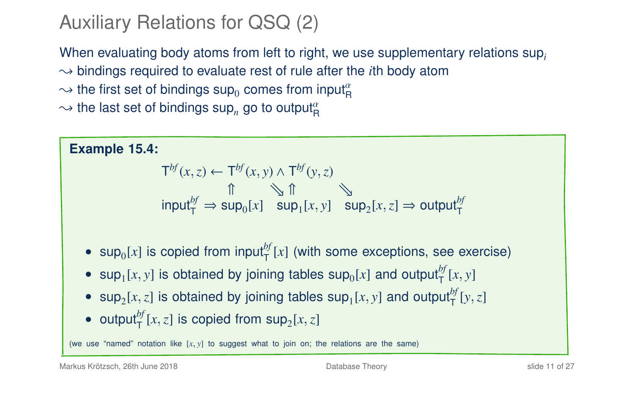# Auxiliary Relations for QSQ (2)

When evaluating body atoms from left to right, we use supplementary relations sup*<sup>i</sup>*  $\rightarrow$  bindings required to evaluate rest of rule after the *i*th body atom

 $\sim$  the first set of bindings  $\mathsf{sup}_0$  comes from input $^a_\mathsf{R}$ 

 $\sim$  the last set of bindings sup<sub>n</sub> go to output $^{\alpha}_{\rm R}$ 

**Example 15.4:**  $\mathsf{T}^{bf}(x, z) \leftarrow \mathsf{T}^{bf}(x, y) \wedge \mathsf{T}^{bf}(y, z)$  $\mathbb{R}$  1  $\mathbb{Z}$  1  $\text{input}_{\mathsf{T}}^{bf} \Rightarrow \text{sup}_{0}[x] \quad \text{sup}_{1}[x, y] \quad \text{sup}_{2}[x, z] \Rightarrow \text{output}_{\mathsf{T}}^{bf}$ •  $\sup_{0}[x]$  is copied from input<sup>bf</sup><sub>T</sub> $[x]$  (with some exceptions, see exercise) • sup<sub>1</sub> $[x, y]$  is obtained by joining tables sup<sub>0</sub> $[x]$  and output<sup>bf</sup><sub> $[T]$ </sub> $[x, y]$ • sup<sub>2</sub>[*x*,*z*] is obtained by joining tables sup<sub>1</sub>[*x*, *y*] and output<sup>*bf*</sup>[*y*, *z*] • output<sup>b</sup><sub>*I*</sub></sub> $[x, z]$  is copied from  $sup_2[x, z]$ (we use "named" notation like  $[x, y]$  to suggest what to join on; the relations are the same)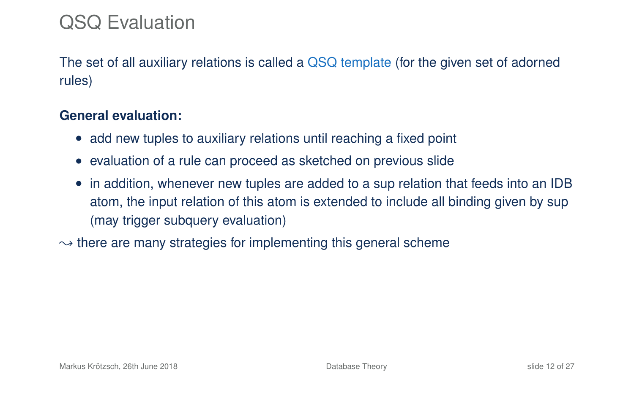# QSQ Evaluation

The set of all auxiliary relations is called a QSQ template (for the given set of adorned rules)

#### **General evaluation:**

- add new tuples to auxiliary relations until reaching a fixed point
- evaluation of a rule can proceed as sketched on previous slide
- in addition, whenever new tuples are added to a sup relation that feeds into an IDB atom, the input relation of this atom is extended to include all binding given by sup (may trigger subquery evaluation)
- $\rightarrow$  there are many strategies for implementing this general scheme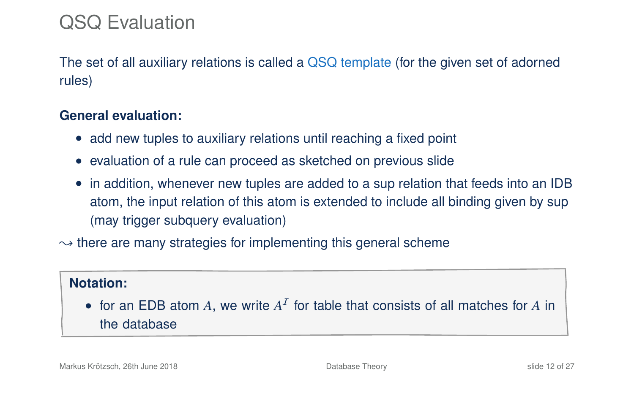# QSQ Evaluation

The set of all auxiliary relations is called a QSQ template (for the given set of adorned rules)

#### **General evaluation:**

- add new tuples to auxiliary relations until reaching a fixed point
- evaluation of a rule can proceed as sketched on previous slide
- in addition, whenever new tuples are added to a sup relation that feeds into an IDB atom, the input relation of this atom is extended to include all binding given by sup (may trigger subquery evaluation)
- $\rightarrow$  there are many strategies for implementing this general scheme

#### **Notation:**

• for an EDB atom  $A$ , we write  $A<sup>T</sup>$  for table that consists of all matches for  $A$  in the database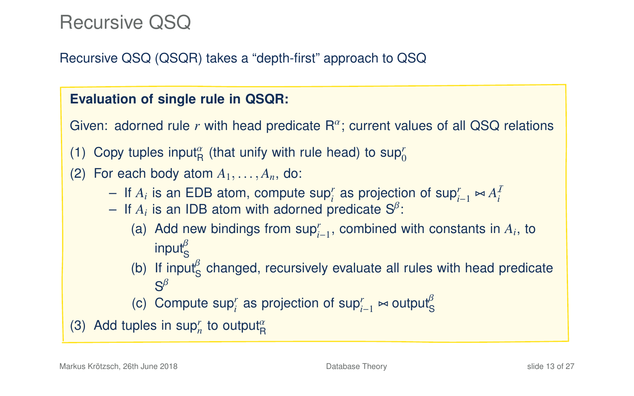### Recursive QSQ

#### Recursive QSQ (QSQR) takes a "depth-first" approach to QSQ

#### **Evaluation of single rule in QSQR:**

Given: adorned rule  $r$  with head predicate  $R^{\alpha}$ ; current values of all QSQ relations

- (1) Copy tuples input<sup> $\alpha$ </sup> (that unify with rule head) to sup<sup>*r*</sup>
- (2) For each body atom  $A_1, \ldots, A_n$ , do:
	- $-$  If *A<sub>i</sub>* is an EDB atom, compute sup*r*<sup>*i*</sup> as projection of sup<sub>*r*<sup>*i*</sup>−1</sub>  $\approx$  *A<sub>i</sub>*<sup>*I*</sup>  $\approx$  *A<sub>i</sub>*<sup>*I*</sup>  $\approx$  *A<sub>i</sub>*<sup>*I*</sup>  $\approx$  *A<sub>i</sub>*<sup>*I*</sup>  $\approx$  *Ai*<sup>*I*</sup>  $\approx$  *Ai*<sup>*I*</sup>  $\approx$  *Ai*<sup>*I*</sup>  $\approx$  *Ai*<sup>*I*</sup>  $\approx$  *Ai*
	- $-$  If  $A_i$  is an IDB atom with adorned predicate  $S^{\beta}$ :
		- (a) Add new bindings from  $\sup_{i=1}^r$ , combined with constants in  $A_i$ , to input $_{\rm S}^{\rm p}$
		- (b) If input<sup> $\beta$ </sup> changed, recursively evaluate all rules with head predicate  $S^{\beta}$
		- (c) Compute sup<sup>*r*</sup> as projection of sup $_{i-1}^r \bowtie$  output<sup>β</sup>

(3) Add tuples in  $\sup_n^r$  to output $^{\alpha}_{\text{R}}$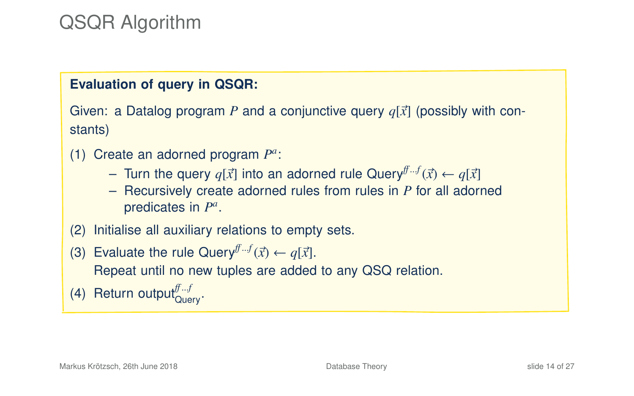# QSQR Algorithm

#### **Evaluation of query in QSQR:**

Given: a Datalog program P and a conjunctive query  $q[\vec{x}]$  (possibly with constants)

- (1) Create an adorned program  $P^a$ :
	- Turn the query  $q[\vec{x}]$  into an adorned rule Query<sup>ff...f</sup> $(\vec{x})$  ←  $q[\vec{x}]$ <br>– Becursively create adorned rules from rules in *P* for all ador
	- Recursively create adorned rules from rules in *P* for all adorned predicates in  $P^a$ .
- (2) Initialise all auxiliary relations to empty sets.
- (3) Evaluate the rule Query<sup> $f^f(f; x) \leftarrow q[\vec{x}]$ .<br>
Beneat until no new tuples are added</sup> Repeat until no new tuples are added to any QSQ relation.
- (4) Return output $_{\text{Query}}^{f^{f}...f}$ .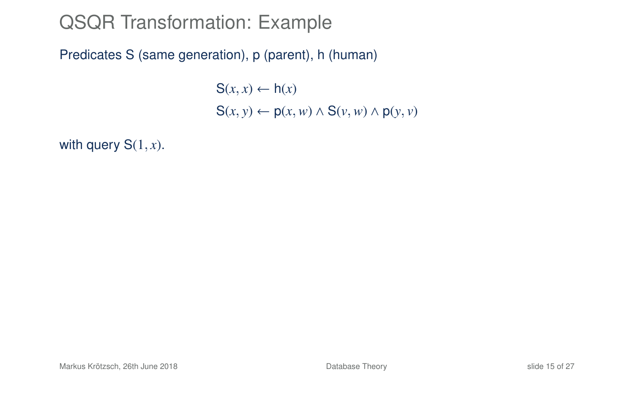Predicates S (same generation), p (parent), h (human)

 $S(x, x) \leftarrow h(x)$ <sup>S</sup>(*x*, *<sup>y</sup>*) <sup>←</sup> <sup>p</sup>(*x*,*w*) <sup>∧</sup> <sup>S</sup>(*v*,*w*) <sup>∧</sup> <sup>p</sup>(*y*, *<sup>v</sup>*)

with query  $S(1, x)$ .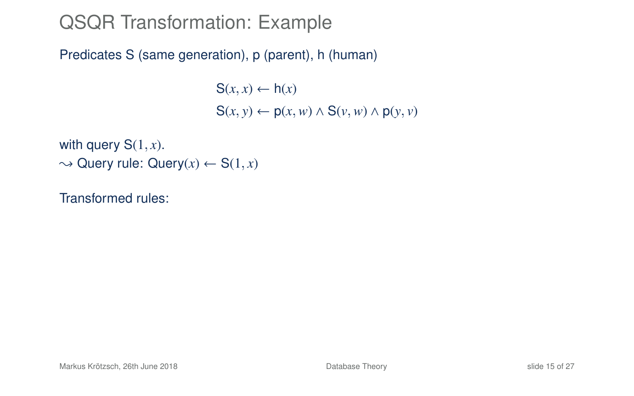Predicates S (same generation), p (parent), h (human)

 $S(x, x) \leftarrow h(x)$  $S(x, y) \leftarrow p(x, w) \wedge S(y, w) \wedge p(y, y)$ 

with query  $S(1, x)$ .  $\rightarrow$  Query rule: Query(x)  $\leftarrow$  S(1, x)

Transformed rules: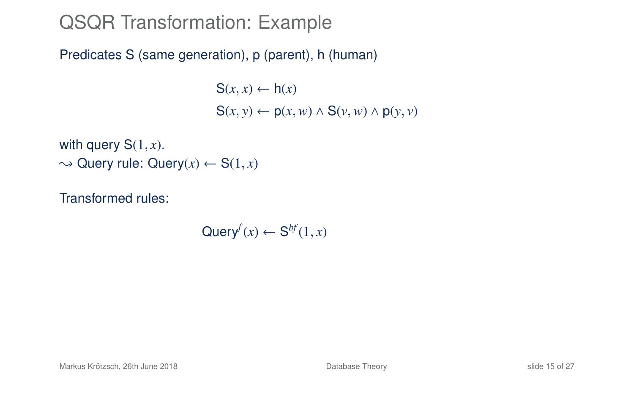Predicates S (same generation), p (parent), h (human)

 $S(x, x) \leftarrow h(x)$  $S(x, y) \leftarrow p(x, w) \wedge S(y, w) \wedge p(y, y)$ 

with query  $S(1, x)$ .  $\rightarrow$  Query rule: Query(x)  $\leftarrow$  S(1, x)

Transformed rules:

 $\mathsf{Query}^f(x) \leftarrow \mathsf{S}^{bf}(1,x)$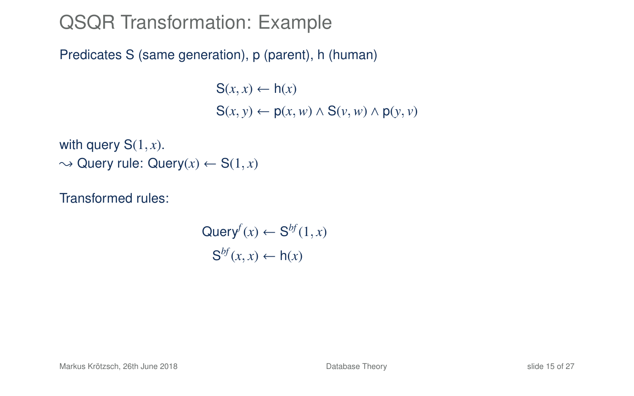Predicates S (same generation), p (parent), h (human)

 $S(x, x) \leftarrow h(x)$  $S(x, y) \leftarrow p(x, w) \wedge S(y, w) \wedge p(y, y)$ 

with query  $S(1, x)$ .  $\rightarrow$  Query rule: Query(x)  $\leftarrow$  S(1, x)

Transformed rules:

$$
\mathsf{Query}^f(x) \leftarrow \mathsf{S}^{bf}(1, x)
$$

$$
\mathsf{S}^{bf}(x, x) \leftarrow \mathsf{h}(x)
$$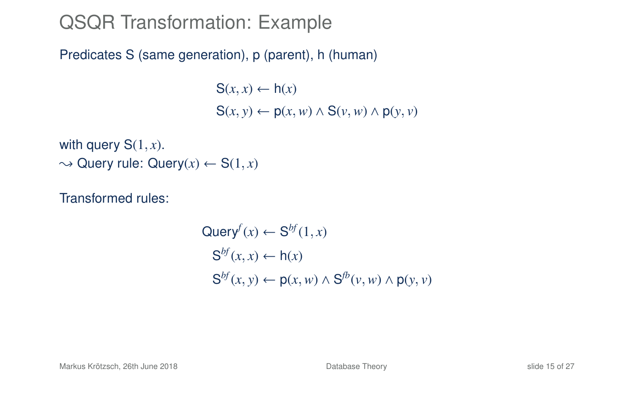Predicates S (same generation), p (parent), h (human)

 $S(x, x) \leftarrow h(x)$  $S(x, y) \leftarrow p(x, w) \wedge S(y, w) \wedge p(y, y)$ 

with query  $S(1, x)$ .  $\rightarrow$  Query rule: Query(x)  $\leftarrow$  S(1, x)

Transformed rules:

 $\mathsf{Query}^f(x) \leftarrow \mathsf{S}^{bf}(1,x)$  $S^{bf}(x, x) \leftarrow h(x)$  $S^{bf}(x, y) \leftarrow p(x, w) \wedge S^{fb}(v, w) \wedge p(y, v)$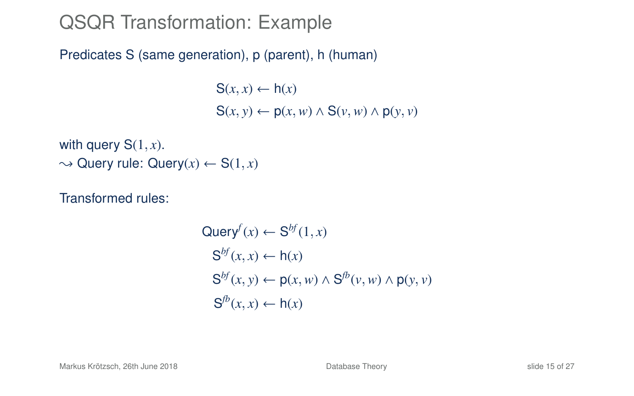Predicates S (same generation), p (parent), h (human)

 $S(x, x) \leftarrow h(x)$  $S(x, y) \leftarrow p(x, w) \wedge S(y, w) \wedge p(y, y)$ 

with query  $S(1, x)$ .  $\rightarrow$  Query rule: Query(x)  $\leftarrow$  S(1, x)

Transformed rules:

$$
Queryf(x) \leftarrow Sbf(1, x)
$$
  
\n
$$
Sbf(x, x) \leftarrow h(x)
$$
  
\n
$$
Sbf(x, y) \leftarrow p(x, w) \land Sfb(v, w) \land p(y, v)
$$
  
\n
$$
Sfb(x, x) \leftarrow h(x)
$$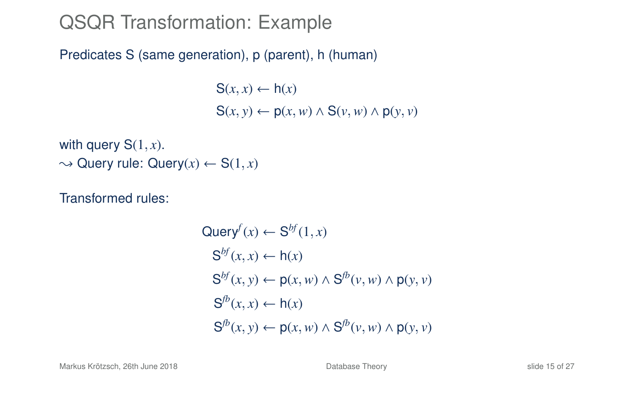Predicates S (same generation), p (parent), h (human)

 $S(x, x) \leftarrow h(x)$ <sup>S</sup>(*x*, *<sup>y</sup>*) <sup>←</sup> <sup>p</sup>(*x*,*w*) <sup>∧</sup> <sup>S</sup>(*v*,*w*) <sup>∧</sup> <sup>p</sup>(*y*, *<sup>v</sup>*)

with query  $S(1, x)$ .  $\rightarrow$  Query rule: Query(x)  $\leftarrow$  S(1, x)

Transformed rules:

$$
Query^{f}(x) \leftarrow S^{bf}(1, x)
$$
  
\n
$$
S^{bf}(x, x) \leftarrow h(x)
$$
  
\n
$$
S^{bf}(x, y) \leftarrow p(x, w) \land S^{fb}(v, w) \land p(y, v)
$$
  
\n
$$
S^{fb}(x, x) \leftarrow h(x)
$$
  
\n
$$
S^{fb}(x, y) \leftarrow p(x, w) \land S^{fb}(v, w) \land p(y, v)
$$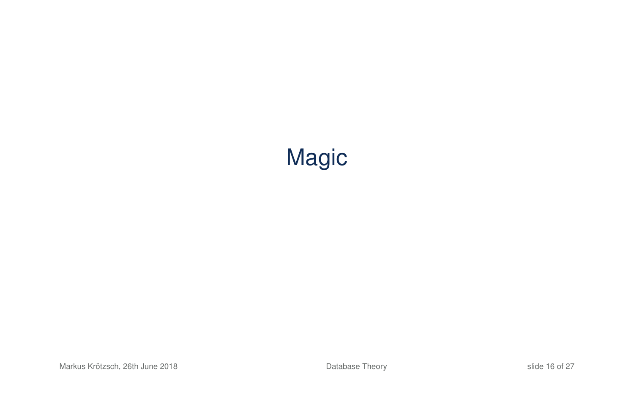# Magic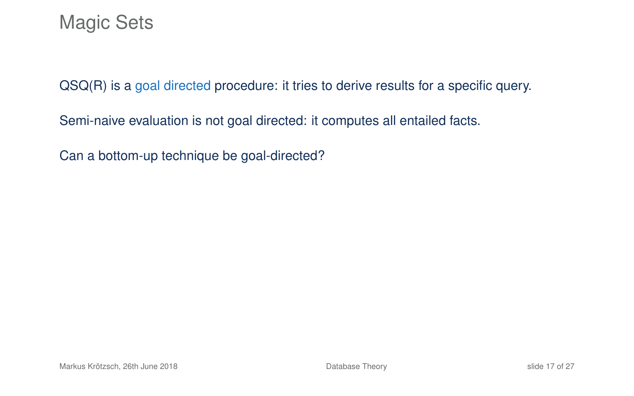QSQ(R) is a goal directed procedure: it tries to derive results for a specific query.

Semi-naive evaluation is not goal directed: it computes all entailed facts.

Can a bottom-up technique be goal-directed?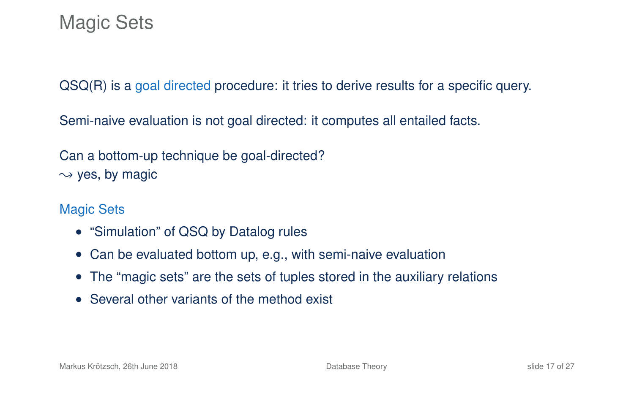QSQ(R) is a goal directed procedure: it tries to derive results for a specific query.

Semi-naive evaluation is not goal directed: it computes all entailed facts.

Can a bottom-up technique be goal-directed?  $\rightarrow$  yes, by magic

#### Magic Sets

- "Simulation" of QSQ by Datalog rules
- Can be evaluated bottom up, e.g., with semi-naive evaluation
- The "magic sets" are the sets of tuples stored in the auxiliary relations
- Several other variants of the method exist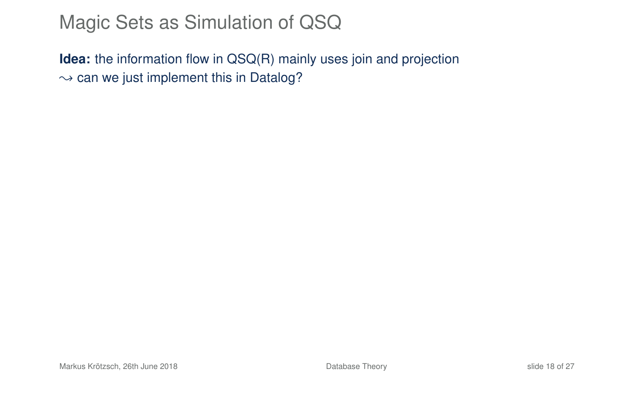### Magic Sets as Simulation of QSQ

**Idea:** the information flow in QSQ(R) mainly uses join and projection  $\rightarrow$  can we just implement this in Datalog?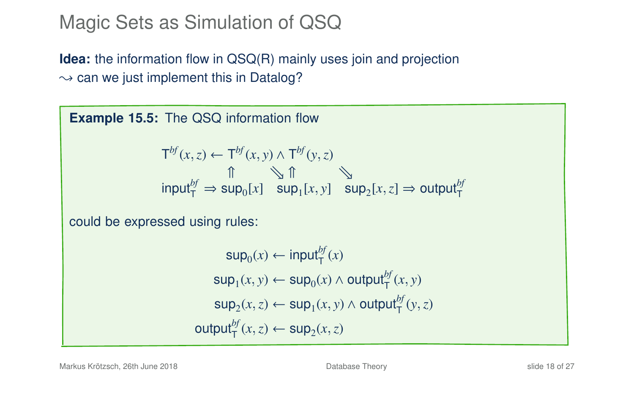### Magic Sets as Simulation of QSQ

**Idea:** the information flow in QSQ(R) mainly uses join and projection  $\rightarrow$  can we just implement this in Datalog?

**Example 15.5:** The QSQ information flow  $\mathsf{T}^{bf}(x, z) \leftarrow \mathsf{T}^{bf}(x, y) \wedge \mathsf{T}^{bf}(y, z)$  $\mathbb{R}$  1  $\mathbb{C}$  $\int_{\tau}^{\pi}$  input<sup>*bf*</sup></sup>  $\Rightarrow$  sup<sub>0</sub>[*x*]  $\int_{\tau}^{\pi}$  sup<sub>1</sub>[*x*, *y*]  $\int_{\tau}^{\pi}$  sup<sub>2</sub>[*x*, *z*]  $\Rightarrow$  output<sup>*bf*</sup></sup> could be expressed using rules:  $\mathsf{sup}_0(x) \leftarrow \mathsf{input}^{bf}_\mathsf{T}(x)$  $\sup_1(x, y) \leftarrow \sup_0(x) \wedge \text{output}^{bf}_T(x, y)$  $\sup_2(x, z) \leftarrow \sup_1(x, y) \wedge \text{output}_T^{bf}(y, z)$  $\text{output}^{bf}_{\mathsf{T}}(x, z) \leftarrow \text{sup}_2(x, z)$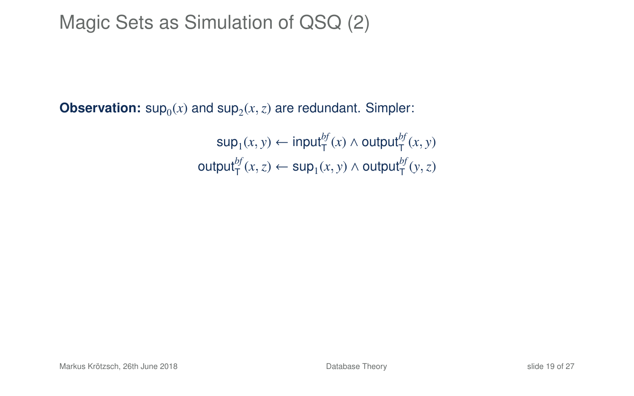# Magic Sets as Simulation of QSQ (2)

**Observation:**  $\sup_0(x)$  and  $\sup_2(x, z)$  are redundant. Simpler:

 $\mathsf{sup}_1(x, y) \leftarrow \mathsf{input}_\mathsf{T}^{bf}(x) \land \mathsf{output}_\mathsf{T}^{bf}(x, y)$  $\textsf{output}_{\mathsf{T}}^{bf}(x,z) \leftarrow \textsf{sup}_{1}(x,y) \land \textsf{output}_{\mathsf{T}}^{bf}(y,z)$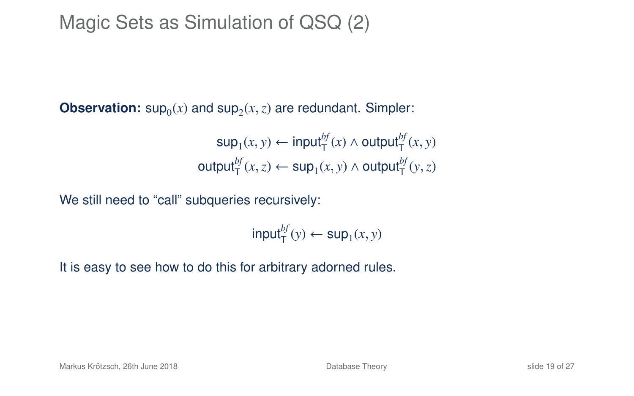# Magic Sets as Simulation of QSQ (2)

**Observation:**  $\sup_0(x)$  and  $\sup_2(x, z)$  are redundant. Simpler:

 $\mathsf{sup}_1(x, y) \leftarrow \mathsf{input}_\mathsf{T}^{bf}(x) \land \mathsf{output}_\mathsf{T}^{bf}(x, y)$  $\textsf{output}_{\mathsf{T}}^{bf}(x,z) \leftarrow \textsf{sup}_{1}(x,y) \land \textsf{output}_{\mathsf{T}}^{bf}(y,z)$ 

We still need to "call" subqueries recursively:

 $\mathsf{input}^{bf}_{\mathsf{T}}(y) \leftarrow \mathsf{sup}_1(x, y)$ 

It is easy to see how to do this for arbitrary adorned rules.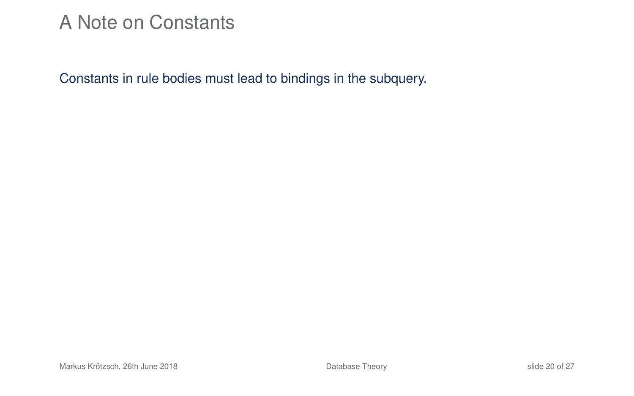#### A Note on Constants

Constants in rule bodies must lead to bindings in the subquery.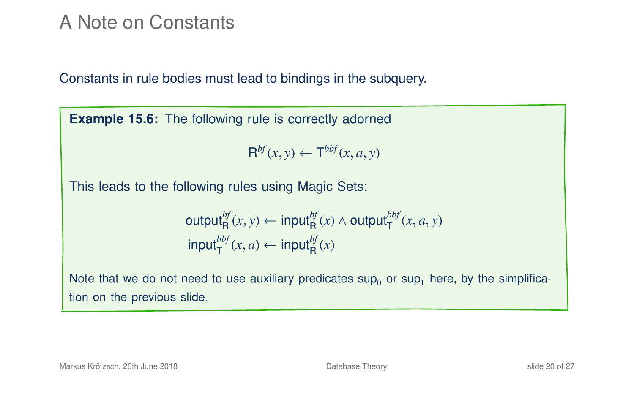#### A Note on Constants

Constants in rule bodies must lead to bindings in the subquery.

**Example 15.6:** The following rule is correctly adorned

$$
\mathsf{R}^{bf}(x,y) \leftarrow \mathsf{T}^{bbf}(x,a,y)
$$

This leads to the following rules using Magic Sets:

$$
\begin{aligned}\n\text{output}_{\mathsf{R}}^{bf}(x, y) &\leftarrow \text{input}_{\mathsf{R}}^{bf}(x) \land \text{output}_{\mathsf{T}}^{bbf}(x, a, y) \\
\text{input}_{\mathsf{T}}^{bbf}(x, a) &\leftarrow \text{input}_{\mathsf{R}}^{bf}(x)\n\end{aligned}
$$

Note that we do not need to use auxiliary predicates  $\sup_0$  or  $\sup_1$  here, by the simplification on the previous slide.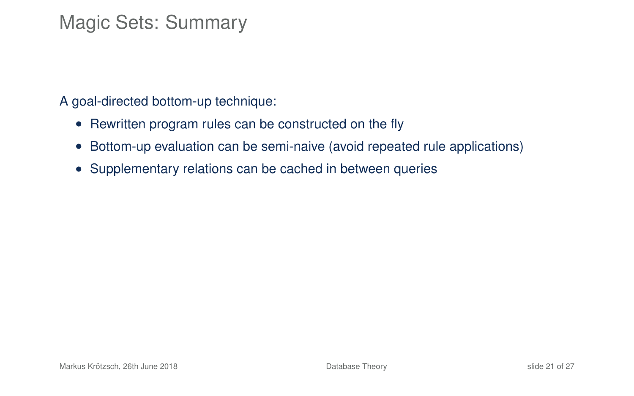# Magic Sets: Summary

A goal-directed bottom-up technique:

- Rewritten program rules can be constructed on the fly
- Bottom-up evaluation can be semi-naive (avoid repeated rule applications)
- Supplementary relations can be cached in between queries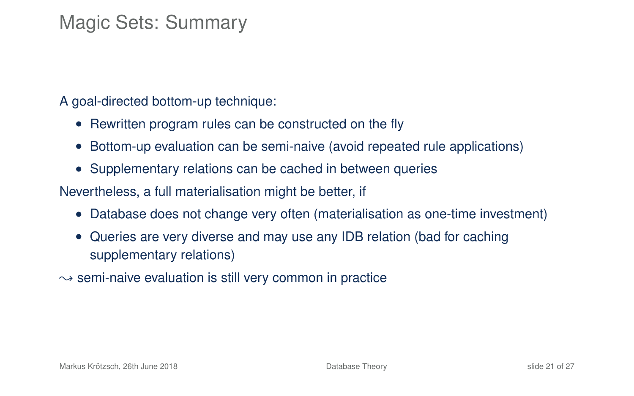# Magic Sets: Summary

A goal-directed bottom-up technique:

- Rewritten program rules can be constructed on the fly
- Bottom-up evaluation can be semi-naive (avoid repeated rule applications)
- Supplementary relations can be cached in between queries

Nevertheless, a full materialisation might be better, if

- Database does not change very often (materialisation as one-time investment)
- Queries are very diverse and may use any IDB relation (bad for caching supplementary relations)
- $\rightarrow$  semi-naive evaluation is still very common in practice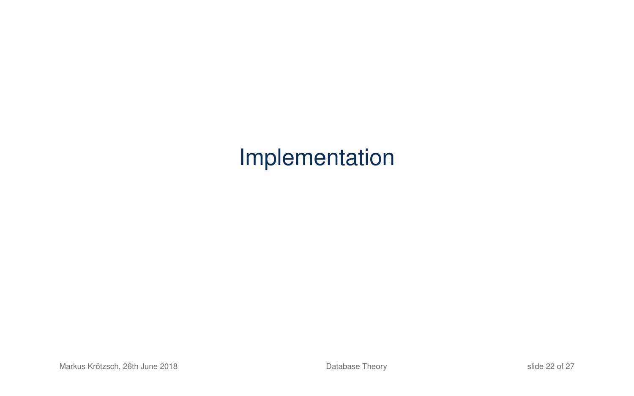# Implementation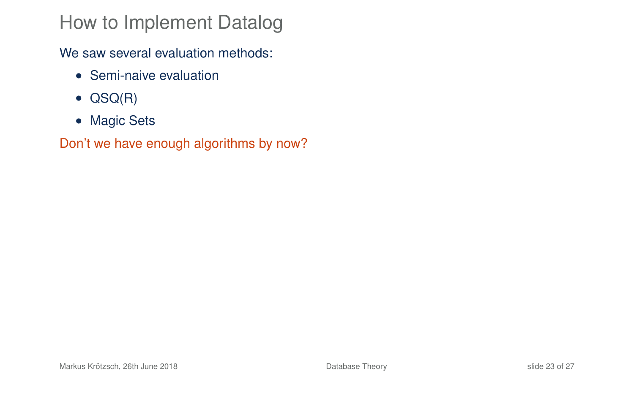# How to Implement Datalog

We saw several evaluation methods:

- Semi-naive evaluation
- QSQ(R)
- Magic Sets

Don't we have enough algorithms by now?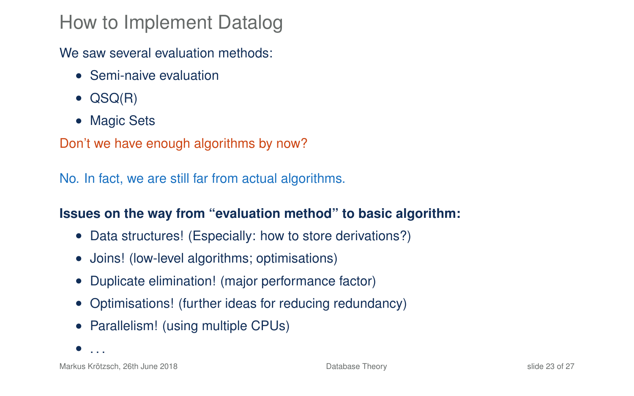### How to Implement Datalog

We saw several evaluation methods:

- Semi-naive evaluation
- QSQ(R)
- Magic Sets

Don't we have enough algorithms by now?

No. In fact, we are still far from actual algorithms.

#### **Issues on the way from "evaluation method" to basic algorithm:**

- Data structures! (Especially: how to store derivations?)
- Joins! (low-level algorithms; optimisations)
- Duplicate elimination! (major performance factor)
- Optimisations! (further ideas for reducing redundancy)
- Parallelism! (using multiple CPUs)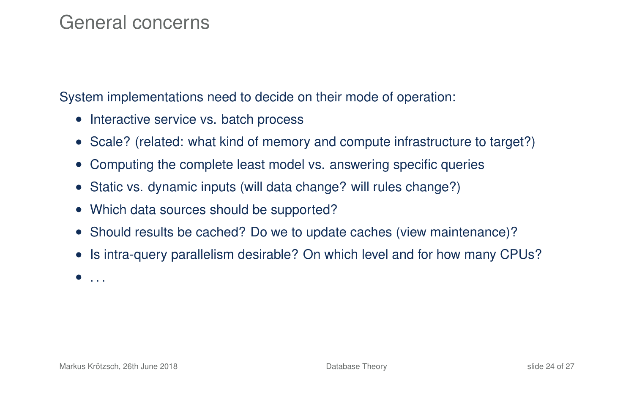#### General concerns

System implementations need to decide on their mode of operation:

- Interactive service vs. batch process
- Scale? (related: what kind of memory and compute infrastructure to target?)
- Computing the complete least model vs. answering specific queries
- Static vs. dynamic inputs (will data change? will rules change?)
- Which data sources should be supported?
- Should results be cached? Do we to update caches (view maintenance)?
- Is intra-query parallelism desirable? On which level and for how many CPUs?

 $\bullet$  . . .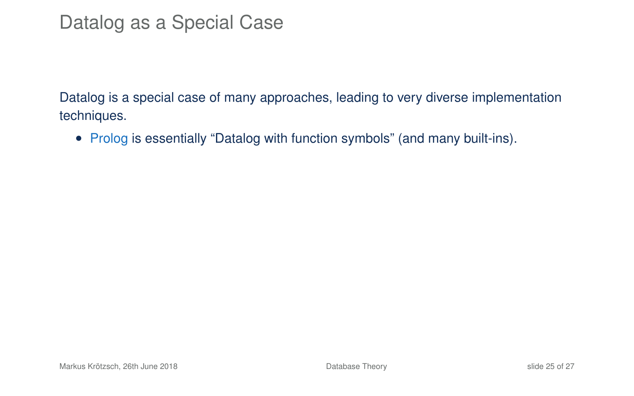Datalog is a special case of many approaches, leading to very diverse implementation techniques.

• Prolog is essentially "Datalog with function symbols" (and many built-ins).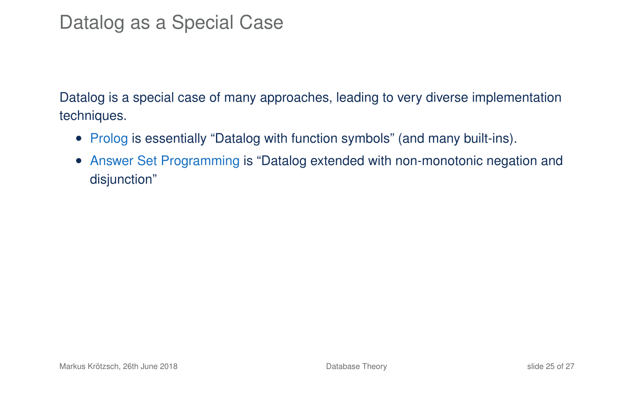- Prolog is essentially "Datalog with function symbols" (and many built-ins).
- Answer Set Programming is "Datalog extended with non-monotonic negation and disjunction"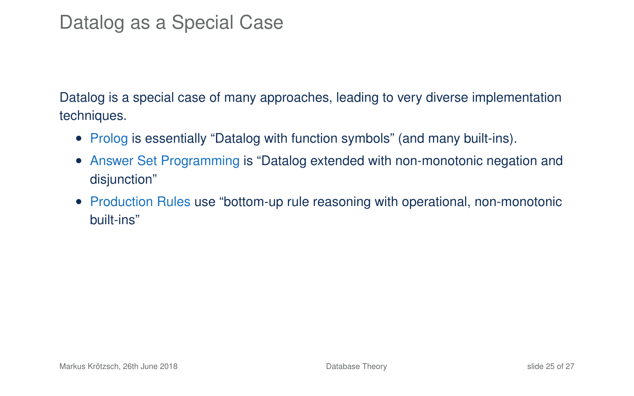- Prolog is essentially "Datalog with function symbols" (and many built-ins).
- Answer Set Programming is "Datalog extended with non-monotonic negation and disjunction"
- Production Rules use "bottom-up rule reasoning with operational, non-monotonic built-ins"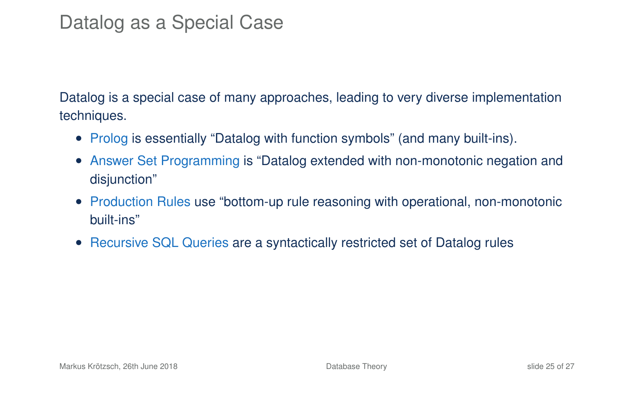- Prolog is essentially "Datalog with function symbols" (and many built-ins).
- Answer Set Programming is "Datalog extended with non-monotonic negation and disjunction"
- Production Rules use "bottom-up rule reasoning with operational, non-monotonic built-ins"
- Recursive SQL Queries are a syntactically restricted set of Datalog rules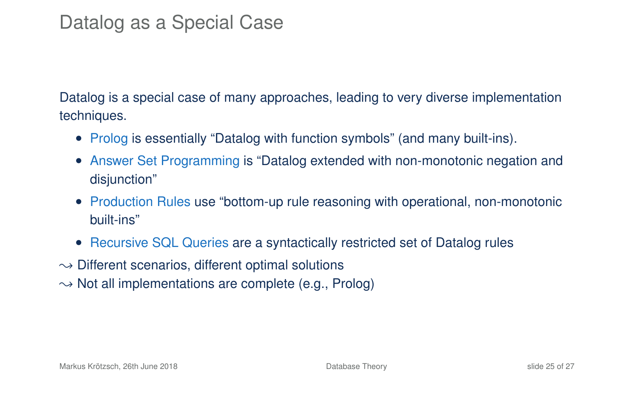- Prolog is essentially "Datalog with function symbols" (and many built-ins).
- Answer Set Programming is "Datalog extended with non-monotonic negation and disjunction"
- Production Rules use "bottom-up rule reasoning with operational, non-monotonic built-ins"
- Recursive SQL Queries are a syntactically restricted set of Datalog rules
- $\rightarrow$  Different scenarios, different optimal solutions
- $\rightarrow$  Not all implementations are complete (e.g., Prolog)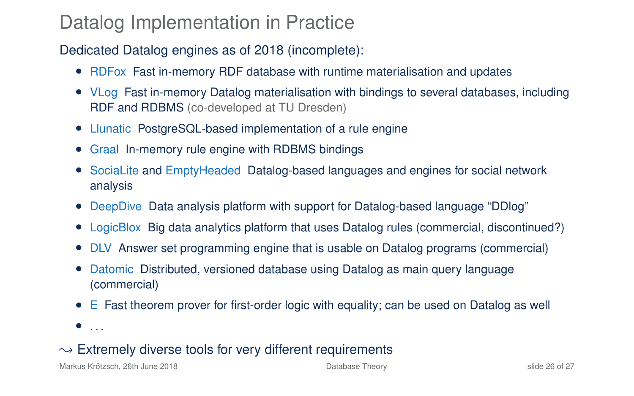#### Datalog Implementation in Practice

#### Dedicated Datalog engines as of 2018 (incomplete):

- RDFox Fast in-memory RDF database with runtime materialisation and updates
- VLog Fast in-memory Datalog materialisation with bindings to several databases, including RDF and RDBMS (co-developed at TU Dresden)
- Llunatic PostgreSQL-based implementation of a rule engine
- Graal In-memory rule engine with RDBMS bindings
- SociaLite and EmptyHeaded Datalog-based languages and engines for social network analysis
- DeepDive Data analysis platform with support for Datalog-based language "DDlog"
- LogicBlox Big data analytics platform that uses Datalog rules (commercial, discontinued?)
- DLV Answer set programming engine that is usable on Datalog programs (commercial)
- Datomic Distributed, versioned database using Datalog as main query language (commercial)
- E Fast theorem prover for first-order logic with equality; can be used on Datalog as well
- $\bullet$  ...

#### $\rightarrow$  Extremely diverse tools for very different requirements

Markus Krötzsch, 26th June 2018 **[Database Theory](#page-0-0)** Database Theory Slide 26 of 27